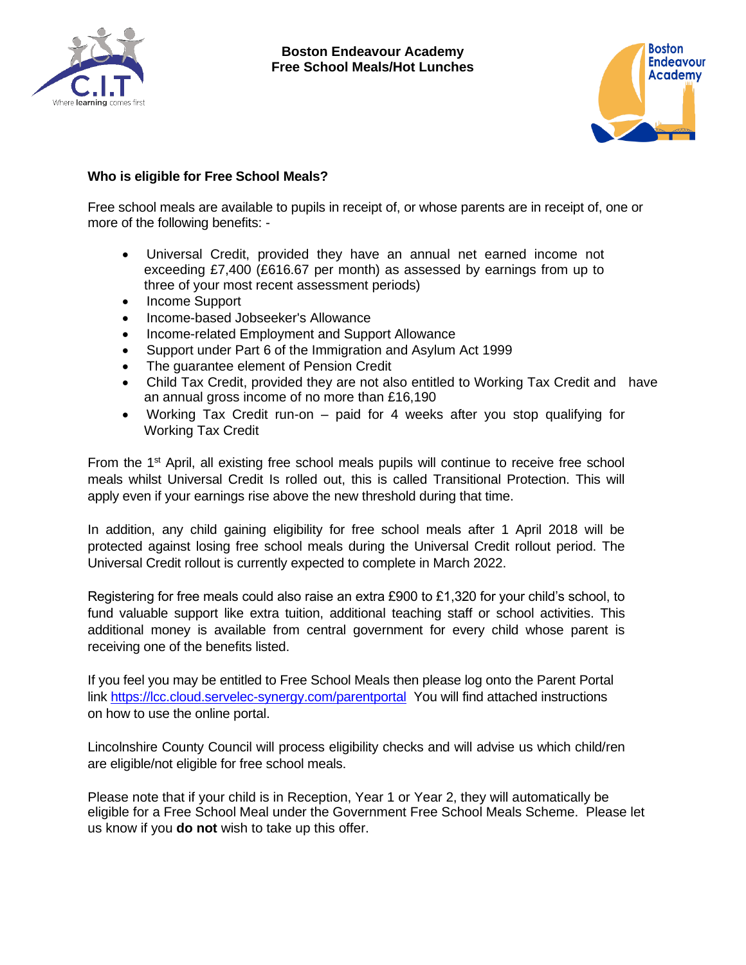



## **Who is eligible for Free School Meals?**

Free school meals are available to pupils in receipt of, or whose parents are in receipt of, one or more of the following benefits: -

- Universal Credit, provided they have an annual net earned income not exceeding £7,400 (£616.67 per month) as assessed by earnings from up to three of your most recent assessment periods)
- Income Support
- Income-based Jobseeker's Allowance
- Income-related Employment and Support Allowance
- Support under Part 6 of the Immigration and Asylum Act 1999
- The guarantee element of Pension Credit
- Child Tax Credit, provided they are not also entitled to Working Tax Credit and have an annual gross income of no more than £16,190
- Working Tax Credit run-on paid for 4 weeks after you stop qualifying for Working Tax Credit

From the 1<sup>st</sup> April, all existing free school meals pupils will continue to receive free school meals whilst Universal Credit Is rolled out, this is called Transitional Protection. This will apply even if your earnings rise above the new threshold during that time.

In addition, any child gaining eligibility for free school meals after 1 April 2018 will be protected against losing free school meals during the Universal Credit rollout period. The Universal Credit rollout is currently expected to complete in March 2022.

Registering for free meals could also raise an extra £900 to £1,320 for your child's school, to fund valuable support like extra tuition, additional teaching staff or school activities. This additional money is available from central government for every child whose parent is receiving one of the benefits listed.

If you feel you may be entitled to Free School Meals then please log onto the Parent Portal link<https://lcc.cloud.servelec-synergy.com/parentportal>You will find attached instructions on how to use the online portal.

Lincolnshire County Council will process eligibility checks and will advise us which child/ren are eligible/not eligible for free school meals.

Please note that if your child is in Reception, Year 1 or Year 2, they will automatically be eligible for a Free School Meal under the Government Free School Meals Scheme. Please let us know if you **do not** wish to take up this offer.